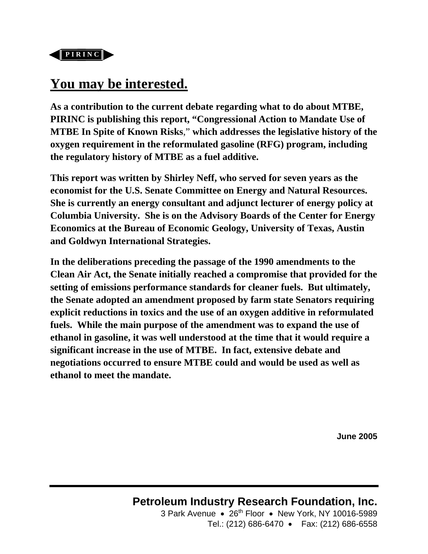

# **You may be interested.**

**As a contribution to the current debate regarding what to do about MTBE, PIRINC is publishing this report, "Congressional Action to Mandate Use of MTBE In Spite of Known Risks**," **which addresses the legislative history of the oxygen requirement in the reformulated gasoline (RFG) program, including the regulatory history of MTBE as a fuel additive.** 

**This report was written by Shirley Neff, who served for seven years as the economist for the U.S. Senate Committee on Energy and Natural Resources. She is currently an energy consultant and adjunct lecturer of energy policy at Columbia University. She is on the Advisory Boards of the Center for Energy Economics at the Bureau of Economic Geology, University of Texas, Austin and Goldwyn International Strategies.** 

**In the deliberations preceding the passage of the 1990 amendments to the Clean Air Act, the Senate initially reached a compromise that provided for the setting of emissions performance standards for cleaner fuels. But ultimately, the Senate adopted an amendment proposed by farm state Senators requiring explicit reductions in toxics and the use of an oxygen additive in reformulated fuels. While the main purpose of the amendment was to expand the use of ethanol in gasoline, it was well understood at the time that it would require a significant increase in the use of MTBE. In fact, extensive debate and negotiations occurred to ensure MTBE could and would be used as well as ethanol to meet the mandate.** 

**June 2005**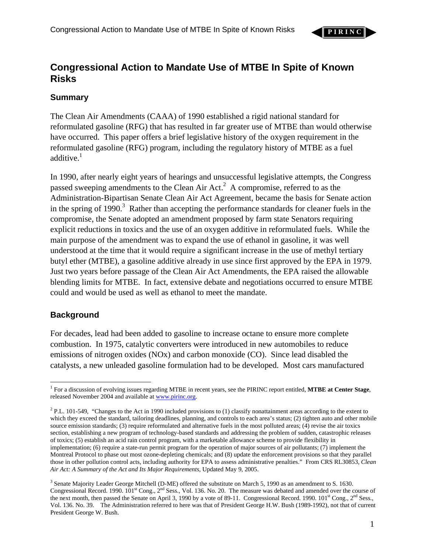

# **Congressional Action to Mandate Use of MTBE In Spite of Known Risks**

# **Summary**

The Clean Air Amendments (CAAA) of 1990 established a rigid national standard for reformulated gasoline (RFG) that has resulted in far greater use of MTBE than would otherwise have occurred. This paper offers a brief legislative history of the oxygen requirement in the reformulated gasoline (RFG) program, including the regulatory history of MTBE as a fuel additive. $<sup>1</sup>$  $<sup>1</sup>$  $<sup>1</sup>$ </sup>

In 1990, after nearly eight years of hearings and unsuccessful legislative attempts, the Congress passed sweeping amendments to the Clean Air Act. $^2$  $^2$  A compromise, referred to as the Administration-Bipartisan Senate Clean Air Act Agreement, became the basis for Senate action in the spring of 1990.<sup>[3](#page-1-2)</sup> Rather than accepting the performance standards for cleaner fuels in the compromise, the Senate adopted an amendment proposed by farm state Senators requiring explicit reductions in toxics and the use of an oxygen additive in reformulated fuels. While the main purpose of the amendment was to expand the use of ethanol in gasoline, it was well understood at the time that it would require a significant increase in the use of methyl tertiary butyl ether (MTBE), a gasoline additive already in use since first approved by the EPA in 1979. Just two years before passage of the Clean Air Act Amendments, the EPA raised the allowable blending limits for MTBE. In fact, extensive debate and negotiations occurred to ensure MTBE could and would be used as well as ethanol to meet the mandate.

# **Background**

For decades, lead had been added to gasoline to increase octane to ensure more complete combustion. In 1975, catalytic converters were introduced in new automobiles to reduce emissions of nitrogen oxides (NOx) and carbon monoxide (CO). Since lead disabled the catalysts, a new unleaded gasoline formulation had to be developed. Most cars manufactured

<span id="page-1-0"></span> $\overline{a}$ 1 For a discussion of evolving issues regarding MTBE in recent years, see the PIRINC report entitled, **MTBE at Center Stage**, released November 2004 and available at www.pirinc.org.

<span id="page-1-1"></span><sup>&</sup>lt;sup>2</sup> P.L. 101-549, "Changes to the Act in 1990 included provisions to (1) classify nonattainment areas according to the extent to which they exceed the standard, tailoring deadlines, planning, and controls to each area's status; (2) tighten auto and other mobile source emission standards; (3) require reformulated and alternative fuels in the most polluted areas; (4) revise the air toxics section, establishing a new program of technology-based standards and addressing the problem of sudden, catastrophic releases of toxics; (5) establish an acid rain control program, with a marketable allowance scheme to provide flexibility in implementation; (6) require a state-run permit program for the operation of major sources of air pollutants; (7) implement the Montreal Protocol to phase out most ozone-depleting chemicals; and (8) update the enforcement provisions so that they parallel those in other pollution control acts, including authority for EPA to assess administrative penalties." From CRS RL30853, *Clean Air Act: A Summary of the Act and Its Major Requirements*, Updated May 9, 2005.

<span id="page-1-2"></span><sup>&</sup>lt;sup>3</sup> Senate Majority Leader George Mitchell (D-ME) offered the substitute on March 5, 1990 as an amendment to S. 1630. Congressional Record. 1990. 101<sup>st</sup> Cong., 2<sup>nd</sup> Sess., Vol. 136. No. 20. The measure was debated and amended over the course of the next month, then passed the Senate on April 3, 1990 by a vote of 89-11. Congressional Record. 1990. 101<sup>st</sup> Cong., 2<sup>nd</sup> Sess., Vol. 136. No. 39. The Administration referred to here was that of President George H.W. Bush (1989-1992), not that of current President George W. Bush.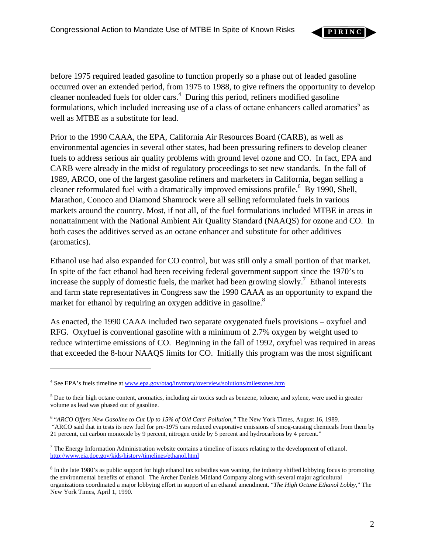before 1975 required leaded gasoline to function properly so a phase out of leaded gasoline occurred over an extended period, from 1975 to 1988, to give refiners the opportunity to develop cleaner nonleaded fuels for older cars.<sup>4</sup> During this period, refiners modified gasoline formulations, which included increasing use of a class of octane enhancers called aromatics<sup>[5](#page-2-1)</sup> as well as MTBE as a substitute for lead.

Prior to the 1990 CAAA, the EPA, California Air Resources Board (CARB), as well as environmental agencies in several other states, had been pressuring refiners to develop cleaner fuels to address serious air quality problems with ground level ozone and CO. In fact, EPA and CARB were already in the midst of regulatory proceedings to set new standards. In the fall of 1989, ARCO, one of the largest gasoline refiners and marketers in California, began selling a cleaner reformulated fuel with a dramatically improved emissions profile.<sup>[6](#page-2-2)</sup> By 1990, Shell, Marathon, Conoco and Diamond Shamrock were all selling reformulated fuels in various markets around the country. Most, if not all, of the fuel formulations included MTBE in areas in nonattainment with the National Ambient Air Quality Standard (NAAQS) for ozone and CO. In both cases the additives served as an octane enhancer and substitute for other additives (aromatics).

Ethanol use had also expanded for CO control, but was still only a small portion of that market. In spite of the fact ethanol had been receiving federal government support since the 1970's to increase the supply of domestic fuels, the market had been growing slowly.<sup>[7](#page-2-3)</sup> Ethanol interests and farm state representatives in Congress saw the 1990 CAAA as an opportunity to expand the market for ethanol by requiring an oxygen additive in gasoline.<sup>[8](#page-2-4)</sup>

As enacted, the 1990 CAAA included two separate oxygenated fuels provisions – oxyfuel and RFG. Oxyfuel is conventional gasoline with a minimum of 2.7% oxygen by weight used to reduce wintertime emissions of CO. Beginning in the fall of 1992, oxyfuel was required in areas that exceeded the 8-hour NAAQS limits for CO. Initially this program was the most significant

 $\overline{a}$ 

**P I R I N C**

<span id="page-2-0"></span><sup>&</sup>lt;sup>4</sup> See EPA's fuels timeline at www.epa.gov/otaq/invntory/overview/solutions/milestones.htm

<span id="page-2-1"></span> $5$  Due to their high octane content, aromatics, including air toxics such as benzene, toluene, and xylene, were used in greater volume as lead was phased out of gasoline.

<span id="page-2-2"></span><sup>6</sup> "*ARCO Offers New Gasoline to Cut Up to 15% of Old Cars' Pollution,"* The New York Times, August 16, 1989. "ARCO said that in tests its new fuel for pre-1975 cars reduced evaporative emissions of smog-causing chemicals from them by 21 percent, cut carbon monoxide by 9 percent, nitrogen oxide by 5 percent and hydrocarbons by 4 percent."

<span id="page-2-3"></span> $<sup>7</sup>$  The Energy Information Administration website contains a timeline of issues relating to the development of ethanol.</sup> http://www.eia.doe.gov/kids/history/timelines/ethanol.html

<span id="page-2-4"></span><sup>&</sup>lt;sup>8</sup> In the late 1980's as public support for high ethanol tax subsidies was waning, the industry shifted lobbying focus to promoting the environmental benefits of ethanol. The Archer Daniels Midland Company along with several major agricultural organizations coordinated a major lobbying effort in support of an ethanol amendment. "*The High Octane Ethanol Lobby*," The New York Times, April 1, 1990.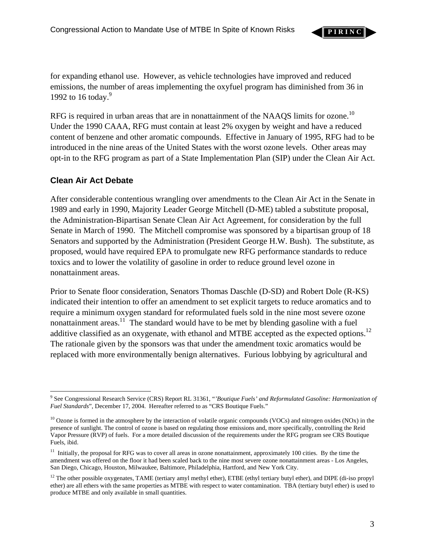**P I R I N C**

for expanding ethanol use. However, as vehicle technologies have improved and reduced emissions, the number of areas implementing the oxyfuel program has diminished from 36 in 1[9](#page-3-0)92 to 16 today.<sup>9</sup>

RFG is required in urban areas that are in nonattainment of the NAAOS limits for ozone.<sup>10</sup> Under the 1990 CAAA, RFG must contain at least 2% oxygen by weight and have a reduced content of benzene and other aromatic compounds. Effective in January of 1995, RFG had to be introduced in the nine areas of the United States with the worst ozone levels. Other areas may opt-in to the RFG program as part of a State Implementation Plan (SIP) under the Clean Air Act.

# **Clean Air Act Debate**

After considerable contentious wrangling over amendments to the Clean Air Act in the Senate in 1989 and early in 1990, Majority Leader George Mitchell (D-ME) tabled a substitute proposal, the Administration-Bipartisan Senate Clean Air Act Agreement, for consideration by the full Senate in March of 1990. The Mitchell compromise was sponsored by a bipartisan group of 18 Senators and supported by the Administration (President George H.W. Bush). The substitute, as proposed, would have required EPA to promulgate new RFG performance standards to reduce toxics and to lower the volatility of gasoline in order to reduce ground level ozone in nonattainment areas.

Prior to Senate floor consideration, Senators Thomas Daschle (D-SD) and Robert Dole (R-KS) indicated their intention to offer an amendment to set explicit targets to reduce aromatics and to require a minimum oxygen standard for reformulated fuels sold in the nine most severe ozone nonattainment areas.<sup>11</sup> The standard would have to be met by blending gasoline with a fuel additive classified as an oxygenate, with ethanol and MTBE accepted as the expected options.<sup>12</sup> The rationale given by the sponsors was that under the amendment toxic aromatics would be replaced with more environmentally benign alternatives. Furious lobbying by agricultural and

<span id="page-3-0"></span><sup>1</sup> 9 See Congressional Research Service (CRS) Report RL 31361, "*'Boutique Fuels' and Reformulated Gasoline: Harmonization of Fuel Standards*", December 17, 2004. Hereafter referred to as "CRS Boutique Fuels."

<span id="page-3-1"></span> $10$  Ozone is formed in the atmosphere by the interaction of volatile organic compounds (VOCs) and nitrogen oxides (NOx) in the presence of sunlight. The control of ozone is based on regulating those emissions and, more specifically, controlling the Reid Vapor Pressure (RVP) of fuels. For a more detailed discussion of the requirements under the RFG program see CRS Boutique Fuels, ibid.

<span id="page-3-2"></span> $11$  Initially, the proposal for RFG was to cover all areas in ozone nonattainment, approximately 100 cities. By the time the amendment was offered on the floor it had been scaled back to the nine most severe ozone nonattainment areas - Los Angeles, San Diego, Chicago, Houston, Milwaukee, Baltimore, Philadelphia, Hartford, and New York City.

<span id="page-3-3"></span><sup>&</sup>lt;sup>12</sup> The other possible oxygenates, TAME (tertiary amyl methyl ether), ETBE (ethyl tertiary butyl ether), and DIPE (di-iso propyl ether) are all ethers with the same properties as MTBE with respect to water contamination. TBA (tertiary butyl ether) is used to produce MTBE and only available in small quantities.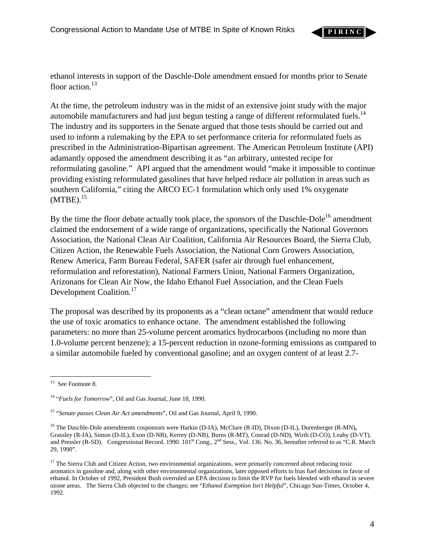

ethanol interests in support of the Daschle-Dole amendment ensued for months prior to Senate floor action.<sup>13</sup>

At the time, the petroleum industry was in the midst of an extensive joint study with the major automobile manufacturers and had just begun testing a range of different reformulated fuels.<sup>14</sup> The industry and its supporters in the Senate argued that those tests should be carried out and used to inform a rulemaking by the EPA to set performance criteria for reformulated fuels as prescribed in the Administration-Bipartisan agreement. The American Petroleum Institute (API) adamantly opposed the amendment describing it as "an arbitrary, untested recipe for reformulating gasoline." API argued that the amendment would "make it impossible to continue providing existing reformulated gasolines that have helped reduce air pollution in areas such as southern California," citing the ARCO EC-1 formulation which only used 1% oxygenate  $(MTBE).<sup>15</sup>$ 

By the time the floor debate actually took place, the sponsors of the Daschle-Dole<sup>16</sup> amendment claimed the endorsement of a wide range of organizations, specifically the National Governors Association, the National Clean Air Coalition, California Air Resources Board, the Sierra Club, Citizen Action, the Renewable Fuels Association, the National Corn Growers Association, Renew America, Farm Bureau Federal, SAFER (safer air through fuel enhancement, reformulation and reforestation), National Farmers Union, National Farmers Organization, Arizonans for Clean Air Now, the Idaho Ethanol Fuel Association, and the Clean Fuels Development Coalition.<sup>[17](#page-4-4)</sup>

The proposal was described by its proponents as a "clean octane" amendment that would reduce the use of toxic aromatics to enhance octane. The amendment established the following parameters: no more than 25-volume percent aromatics hydrocarbons (including no more than 1.0-volume percent benzene); a 15-percent reduction in ozone-forming emissions as compared to a similar automobile fueled by conventional gasoline; and an oxygen content of at least 2.7-

<span id="page-4-0"></span><sup>1</sup> <sup>13</sup> See Footnote 8.

<span id="page-4-1"></span><sup>14 &</sup>quot;*Fuels for Tomorrow*", Oil and Gas Journal, June 18, 1990.

<span id="page-4-2"></span><sup>15 &</sup>quot;*Senate passes Clean Air Act amendments*", Oil and Gas Journal, April 9, 1990.

<span id="page-4-3"></span><sup>16</sup> The Daschle-Dole amendments cosponsors were Harkin (D-IA), McClure (R-ID), Dixon (D-IL), Durenberger (R-MN)**,**  Grassley (R-IA), Simon (D-IL), Exon (D-NB), Kerrey (D-NB), Burns (R-MT), Conrad (D-ND), Wirth (D-CO), Leahy (D-VT), and Pressler (R-SD). Congressional Record. 1990. 101<sup>st</sup> Cong., 2<sup>nd</sup> Sess., Vol. 136. No. 36, hereafter referred to as "C.R. March 29, 1990".

<span id="page-4-4"></span><sup>&</sup>lt;sup>17</sup> The Sierra Club and Citizen Action, two environmental organizations, were primarily concerned about reducing toxic aromatics in gasoline and, along with other environmental organizations, later opposed efforts to bias fuel decisions in favor of ethanol. In October of 1992, President Bush overruled an EPA decision to limit the RVP for fuels blended with ethanol in severe ozone areas. The Sierra Club objected to the changes; see "*Ethanol Exemption Isn't Helpful*", Chicago Sun-Times, October 4, 1992.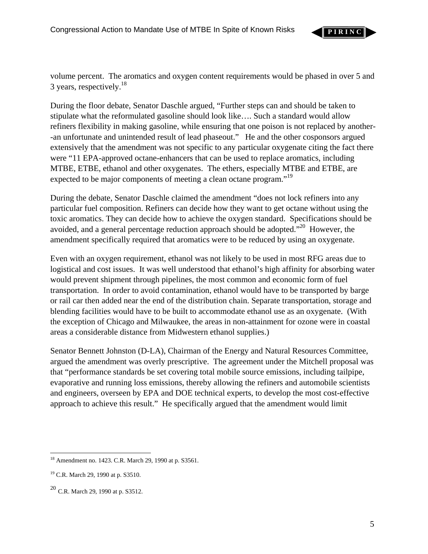**P I R I N C**

volume percent. The aromatics and oxygen content requirements would be phased in over 5 and 3 years, respectively. $^{18}$ 

During the floor debate, Senator Daschle argued, "Further steps can and should be taken to stipulate what the reformulated gasoline should look like…. Such a standard would allow refiners flexibility in making gasoline, while ensuring that one poison is not replaced by another- -an unfortunate and unintended result of lead phaseout." He and the other cosponsors argued extensively that the amendment was not specific to any particular oxygenate citing the fact there were "11 EPA-approved octane-enhancers that can be used to replace aromatics, including MTBE, ETBE, ethanol and other oxygenates. The ethers, especially MTBE and ETBE, are expected to be major components of meeting a clean octane program."<sup>19</sup>

During the debate, Senator Daschle claimed the amendment "does not lock refiners into any particular fuel composition. Refiners can decide how they want to get octane without using the toxic aromatics. They can decide how to achieve the oxygen standard. Specifications should be avoided, and a general percentage reduction approach should be adopted.<sup> $20$ </sup> However, the amendment specifically required that aromatics were to be reduced by using an oxygenate.

Even with an oxygen requirement, ethanol was not likely to be used in most RFG areas due to logistical and cost issues. It was well understood that ethanol's high affinity for absorbing water would prevent shipment through pipelines, the most common and economic form of fuel transportation. In order to avoid contamination, ethanol would have to be transported by barge or rail car then added near the end of the distribution chain. Separate transportation, storage and blending facilities would have to be built to accommodate ethanol use as an oxygenate. (With the exception of Chicago and Milwaukee, the areas in non-attainment for ozone were in coastal areas a considerable distance from Midwestern ethanol supplies.)

Senator Bennett Johnston (D-LA), Chairman of the Energy and Natural Resources Committee, argued the amendment was overly prescriptive. The agreement under the Mitchell proposal was that "performance standards be set covering total mobile source emissions, including tailpipe, evaporative and running loss emissions, thereby allowing the refiners and automobile scientists and engineers, overseen by EPA and DOE technical experts, to develop the most cost-effective approach to achieve this result." He specifically argued that the amendment would limit

<span id="page-5-0"></span> $\overline{a}$ <sup>18</sup> Amendment no. 1423. C.R. March 29, 1990 at p. S3561.

<span id="page-5-1"></span><sup>19</sup> C.R. March 29, 1990 at p. S3510.

<span id="page-5-2"></span> $20$  C.R. March 29, 1990 at p. S3512.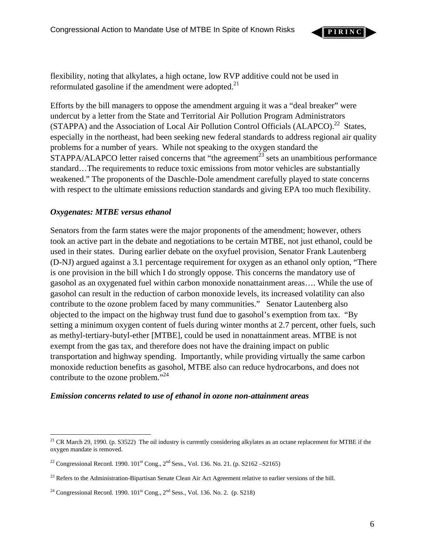

flexibility, noting that alkylates, a high octane, low RVP additive could not be used in reformulated gasoline if the amendment were adopted.<sup>[21](#page-6-0)</sup>

Efforts by the bill managers to oppose the amendment arguing it was a "deal breaker" were undercut by a letter from the State and Territorial Air Pollution Program Administrators (STAPPA) and the Association of Local Air Pollution Control Officials (ALAPCO).<sup>22</sup> States, especially in the northeast, had been seeking new federal standards to address regional air quality problems for a number of years. While not speaking to the oxygen standard the  $STAPPA/ALAPCO$  letter raised concerns that "the agreement<sup>23</sup> sets an unambitious performance standard…The requirements to reduce toxic emissions from motor vehicles are substantially weakened." The proponents of the Daschle-Dole amendment carefully played to state concerns with respect to the ultimate emissions reduction standards and giving EPA too much flexibility.

### *Oxygenates: MTBE versus ethanol*

 $\overline{a}$ 

Senators from the farm states were the major proponents of the amendment; however, others took an active part in the debate and negotiations to be certain MTBE, not just ethanol, could be used in their states. During earlier debate on the oxyfuel provision, Senator Frank Lautenberg (D-NJ) argued against a 3.1 percentage requirement for oxygen as an ethanol only option, "There is one provision in the bill which I do strongly oppose. This concerns the mandatory use of gasohol as an oxygenated fuel within carbon monoxide nonattainment areas…. While the use of gasohol can result in the reduction of carbon monoxide levels, its increased volatility can also contribute to the ozone problem faced by many communities." Senator Lautenberg also objected to the impact on the highway trust fund due to gasohol's exemption from tax. "By setting a minimum oxygen content of fuels during winter months at 2.7 percent, other fuels, such as methyl-tertiary-butyl-ether [MTBE], could be used in nonattainment areas. MTBE is not exempt from the gas tax, and therefore does not have the draining impact on public transportation and highway spending. Importantly, while providing virtually the same carbon monoxide reduction benefits as gasohol, MTBE also can reduce hydrocarbons, and does not contribute to the ozone problem."<sup>[24](#page-6-3)</sup>

#### *Emission concerns related to use of ethanol in ozone non-attainment areas*

<span id="page-6-0"></span> $21$  CR March 29, 1990. (p. S3522) The oil industry is currently considering alkylates as an octane replacement for MTBE if the oxygen mandate is removed.

<span id="page-6-1"></span><sup>&</sup>lt;sup>22</sup> Congressional Record. 1990.  $101^{st}$  Cong.,  $2^{nd}$  Sess., Vol. 136. No. 21. (p. S2162 –S2165)

<span id="page-6-2"></span><sup>&</sup>lt;sup>23</sup> Refers to the Administration-Bipartisan Senate Clean Air Act Agreement relative to earlier versions of the bill.

<span id="page-6-3"></span><sup>&</sup>lt;sup>24</sup> Congressional Record. 1990.  $101<sup>st</sup>$  Cong.,  $2<sup>nd</sup>$  Sess., Vol. 136. No. 2. (p. S218)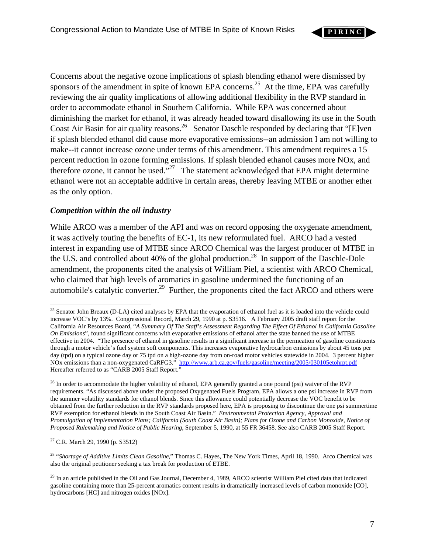

Concerns about the negative ozone implications of splash blending ethanol were dismissed by sponsors of the amendment in spite of known EPA concerns.<sup>25</sup> At the time, EPA was carefully reviewing the air quality implications of allowing additional flexibility in the RVP standard in order to accommodate ethanol in Southern California. While EPA was concerned about diminishing the market for ethanol, it was already headed toward disallowing its use in the South Coast Air Basin for air quality reasons.<sup>26</sup> Senator Daschle responded by declaring that "[E]ven if splash blended ethanol did cause more evaporative emissions--an admission I am not willing to make--it cannot increase ozone under terms of this amendment. This amendment requires a 15 percent reduction in ozone forming emissions. If splash blended ethanol causes more NOx, and therefore ozone, it cannot be used."<sup>27</sup> The statement acknowledged that EPA might determine ethanol were not an acceptable additive in certain areas, thereby leaving MTBE or another ether as the only option.

### *Competition within the oil industry*

While ARCO was a member of the API and was on record opposing the oxygenate amendment, it was actively touting the benefits of EC-1, its new reformulated fuel. ARCO had a vested interest in expanding use of MTBE since ARCO Chemical was the largest producer of MTBE in the U.S. and controlled about 40% of the global production.<sup>28</sup> In support of the Daschle-Dole amendment, the proponents cited the analysis of William Piel, a scientist with ARCO Chemical, who claimed that high levels of aromatics in gasoline undermined the functioning of an automobile's catalytic converter.<sup>29</sup> Further, the proponents cited the fact ARCO and others were

<span id="page-7-2"></span>27 C.R. March 29, 1990 (p. S3512)

<span id="page-7-3"></span>28 "*Shortage of Additive Limits Clean Gasoline*," Thomas C. Hayes, The New York Times, April 18, 1990. Arco Chemical was also the original petitioner seeking a tax break for production of ETBE.

<span id="page-7-0"></span> $\overline{a}$ <sup>25</sup> Senator John Breaux (D-LA) cited analyses by EPA that the evaporation of ethanol fuel as it is loaded into the vehicle could increase VOC's by 13%. Congressional Record, March 29, 1990 at p. S3516. A February 2005 draft staff report for the California Air Resources Board, "*A Summary Of The Staff's Assessment Regarding The Effect Of Ethanol In California Gasoline On Emissions*", found significant concerns with evaporative emissions of ethanol after the state banned the use of MTBE effective in 2004. "The presence of ethanol in gasoline results in a significant increase in the permeation of gasoline constituents through a motor vehicle's fuel system soft components. This increases evaporative hydrocarbon emissions by about 45 tons per day (tpd) on a typical ozone day or 75 tpd on a high-ozone day from on-road motor vehicles statewide in 2004. 3 percent higher NOx emissions than a non-oxygenated CaRFG3." http://www.arb.ca.gov/fuels/gasoline/meeting/2005/030105etohrpt.pdf Hereafter referred to as "CARB 2005 Staff Report."

<span id="page-7-1"></span> $^{26}$  In order to accommodate the higher volatility of ethanol, EPA generally granted a one pound (psi) waiver of the RVP requirements. "As discussed above under the proposed Oxygenated Fuels Program, EPA allows a one psi increase in RVP from the summer volatility standards for ethanol blends. Since this allowance could potentially decrease the VOC benefit to be obtained from the further reduction in the RVP standards proposed here, EPA is proposing to discontinue the one psi summertime RVP exemption for ethanol blends in the South Coast Air Basin." *Environmental Protection Agency, Approval and Promulgation of Implementation Plans; California (South Coast Air Basin); Plans for Ozone and Carbon Monoxide, Notice of Proposed Rulemaking and Notice of Public Hearing*, September 5, 1990, at 55 FR 36458. See also CARB 2005 Staff Report.

<span id="page-7-4"></span> $^{29}$  In an article published in the Oil and Gas Journal, December 4, 1989, ARCO scientist William Piel cited data that indicated gasoline containing more than 25-percent aromatics content results in dramatically increased levels of carbon monoxide [CO], hydrocarbons [HC] and nitrogen oxides [NOx].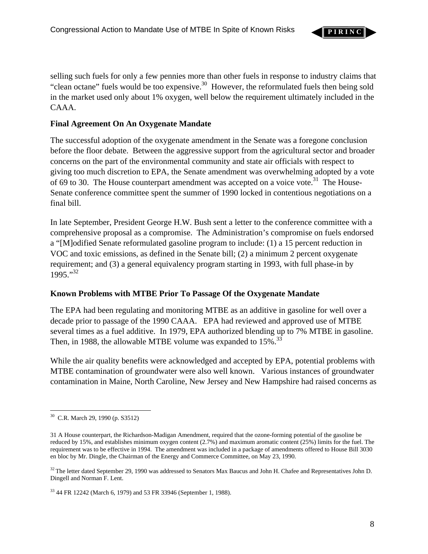

selling such fuels for only a few pennies more than other fuels in response to industry claims that "clean octane" fuels would be too expensive.<sup>30</sup> However, the reformulated fuels then being sold in the market used only about 1% oxygen, well below the requirement ultimately included in the CAAA.

# **Final Agreement On An Oxygenate Mandate**

The successful adoption of the oxygenate amendment in the Senate was a foregone conclusion before the floor debate. Between the aggressive support from the agricultural sector and broader concerns on the part of the environmental community and state air officials with respect to giving too much discretion to EPA, the Senate amendment was overwhelming adopted by a vote of 69 to 30. The House counterpart amendment was accepted on a voice vote.<sup>31</sup> The House-Senate conference committee spent the summer of 1990 locked in contentious negotiations on a final bill.

In late September, President George H.W. Bush sent a letter to the conference committee with a comprehensive proposal as a compromise. The Administration's compromise on fuels endorsed a "[M]odified Senate reformulated gasoline program to include: (1) a 15 percent reduction in VOC and toxic emissions, as defined in the Senate bill; (2) a minimum 2 percent oxygenate requirement; and (3) a general equivalency program starting in 1993, with full phase-in by 1995<sup>"32</sup>

### **Known Problems with MTBE Prior To Passage Of the Oxygenate Mandate**

The EPA had been regulating and monitoring MTBE as an additive in gasoline for well over a decade prior to passage of the 1990 CAAA. EPA had reviewed and approved use of MTBE several times as a fuel additive. In 1979, EPA authorized blending up to 7% MTBE in gasoline. Then, in 1988, the allowable MTBE volume was expanded to  $15\%$ .<sup>33</sup>

While the air quality benefits were acknowledged and accepted by EPA, potential problems with MTBE contamination of groundwater were also well known. Various instances of groundwater contamination in Maine, North Caroline, New Jersey and New Hampshire had raised concerns as

<span id="page-8-0"></span><sup>1</sup> 30 C.R. March 29, 1990 (p. S3512)

<span id="page-8-1"></span><sup>31</sup> A House counterpart, the Richardson-Madigan Amendment, required that the ozone-forming potential of the gasoline be reduced by 15%, and establishes minimum oxygen content (2.7%) and maximum aromatic content (25%) limits for the fuel. The requirement was to be effective in 1994. The amendment was included in a package of amendments offered to House Bill 3030 en bloc by Mr. Dingle, the Chairman of the Energy and Commerce Committee, on May 23, 1990.

<span id="page-8-2"></span> $32$  The letter dated September 29, 1990 was addressed to Senators Max Baucus and John H. Chafee and Representatives John D. Dingell and Norman F. Lent.

<span id="page-8-3"></span><sup>33 44</sup> FR 12242 (March 6, 1979) and 53 FR 33946 (September 1, 1988).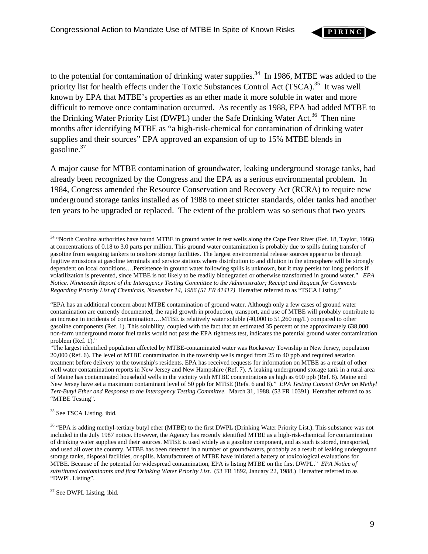

to the potential for contamination of drinking water supplies.<sup>34</sup> In 1986, MTBE was added to the priority list for health effects under the Toxic Substances Control Act (TSCA).<sup>35</sup> It was well known by EPA that MTBE's properties as an ether made it more soluble in water and more difficult to remove once contamination occurred. As recently as 1988, EPA had added MTBE to the Drinking Water Priority List (DWPL) under the Safe Drinking Water Act.<sup>36</sup> Then nine months after identifying MTBE as "a high-risk-chemical for contamination of drinking water supplies and their sources" EPA approved an expansion of up to 15% MTBE blends in gasoline[.37](#page-9-3)

A major cause for MTBE contamination of groundwater, leaking underground storage tanks, had already been recognized by the Congress and the EPA as a serious environmental problem. In 1984, Congress amended the Resource Conservation and Recovery Act (RCRA) to require new underground storage tanks installed as of 1988 to meet stricter standards, older tanks had another ten years to be upgraded or replaced. The extent of the problem was so serious that two years

<span id="page-9-1"></span><sup>35</sup> See TSCA Listing, ibid.

<span id="page-9-0"></span><sup>1</sup> <sup>34</sup> "North Carolina authorities have found MTBE in ground water in test wells along the Cape Fear River (Ref. 18, Taylor, 1986) at concentrations of 0.18 to 3.0 parts per million. This ground water contamination is probably due to spills during transfer of gasoline from seagoing tankers to onshore storage facilities. The largest environmental release sources appear to be through fugitive emissions at gasoline terminals and service stations where distribution to and dilution in the atmosphere will be strongly dependent on local conditions….Persistence in ground water following spills is unknown, but it may persist for long periods if volatilization is prevented, since MTBE is not likely to be readily biodegraded or otherwise transformed in ground water." *EPA Notice. Nineteenth Report of the Interagency Testing Committee to the Administrator; Receipt and Request for Comments Regarding Priority List of Chemicals, November 14, 1986 (51 FR 41417)* Hereafter referred to as "TSCA Listing."

<sup>&</sup>quot;EPA has an additional concern about MTBE contamination of ground water. Although only a few cases of ground water contamination are currently documented, the rapid growth in production, transport, and use of MTBE will probably contribute to an increase in incidents of contamination….MTBE is relatively water soluble (40,000 to 51,260 mg/L) compared to other gasoline components (Ref. 1). This solubility, coupled with the fact that an estimated 35 percent of the approximately 638,000 non-farm underground motor fuel tanks would not pass the EPA tightness test, indicates the potential ground water contamination problem (Ref. 1)."

<sup>&</sup>quot;The largest identified population affected by MTBE-contaminated water was Rockaway Township in New Jersey, population 20,000 (Ref. 6). The level of MTBE contamination in the township wells ranged from 25 to 40 ppb and required aeration treatment before delivery to the township's residents. EPA has received requests for information on MTBE as a result of other well water contamination reports in New Jersey and New Hampshire (Ref. 7). A leaking underground storage tank in a rural area of Maine has contaminated household wells in the vicinity with MTBE concentrations as high as 690 ppb (Ref. 8). Maine and New Jersey have set a maximum contaminant level of 50 ppb for MTBE (Refs. 6 and 8)." *EPA Testing Consent Order on Methyl Tert-Butyl Ether and Response to the Interagency Testing Committee.* March 31, 1988. (53 FR 10391) Hereafter referred to as "MTBE Testing".

<span id="page-9-2"></span><sup>&</sup>lt;sup>36</sup> "EPA is adding methyl-tertiary butyl ether (MTBE) to the first DWPL (Drinking Water Priority List.). This substance was not included in the July 1987 notice. However, the Agency has recently identified MTBE as a high-risk-chemical for contamination of drinking water supplies and their sources. MTBE is used widely as a gasoline component, and as such is stored, transported, and used all over the country. MTBE has been detected in a number of groundwaters, probably as a result of leaking underground storage tanks, disposal facilities, or spills. Manufacturers of MTBE have initiated a battery of toxicological evaluations for MTBE. Because of the potential for widespread contamination, EPA is listing MTBE on the first DWPL." *EPA Notice of substituted contaminants and first Drinking Water Priority List*. (53 FR 1892, January 22, 1988.) Hereafter referred to as "DWPL Listing".

<span id="page-9-3"></span><sup>&</sup>lt;sup>37</sup> See DWPL Listing, ibid.